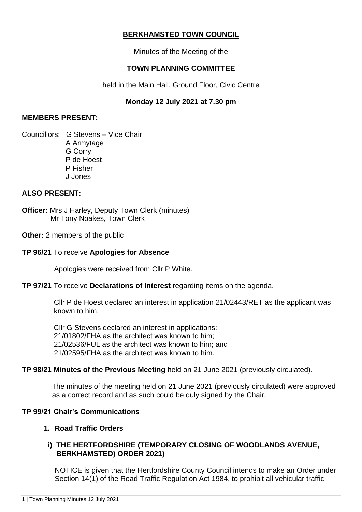# **BERKHAMSTED TOWN COUNCIL**

Minutes of the Meeting of the

## **TOWN PLANNING COMMITTEE**

held in the Main Hall, Ground Floor, Civic Centre

# **Monday 12 July 2021 at 7.30 pm**

### **MEMBERS PRESENT:**

Councillors: G Stevens – Vice Chair A Armytage G Corry P de Hoest P Fisher J Jones

## **ALSO PRESENT:**

**Officer:** Mrs J Harley, Deputy Town Clerk (minutes) Mr Tony Noakes, Town Clerk

**Other:** 2 members of the public

### **TP 96/21** To receive **Apologies for Absence**

Apologies were received from Cllr P White.

#### **TP 97/21** To receive **Declarations of Interest** regarding items on the agenda.

Cllr P de Hoest declared an interest in application 21/02443/RET as the applicant was known to him.

Cllr G Stevens declared an interest in applications: 21/01802/FHA as the architect was known to him; 21/02536/FUL as the architect was known to him; and 21/02595/FHA as the architect was known to him.

#### **TP 98/21 Minutes of the Previous Meeting** held on 21 June 2021 (previously circulated).

 The minutes of the meeting held on 21 June 2021 (previously circulated) were approved as a correct record and as such could be duly signed by the Chair.

## **TP 99/21 Chair's Communications**

## **1. Road Traffic Orders**

## **i) THE HERTFORDSHIRE (TEMPORARY CLOSING OF WOODLANDS AVENUE, BERKHAMSTED) ORDER 2021)**

NOTICE is given that the Hertfordshire County Council intends to make an Order under Section 14(1) of the Road Traffic Regulation Act 1984, to prohibit all vehicular traffic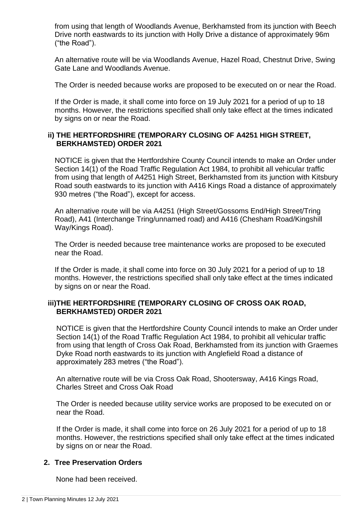from using that length of Woodlands Avenue, Berkhamsted from its junction with Beech Drive north eastwards to its junction with Holly Drive a distance of approximately 96m ("the Road").

An alternative route will be via Woodlands Avenue, Hazel Road, Chestnut Drive, Swing Gate Lane and Woodlands Avenue.

The Order is needed because works are proposed to be executed on or near the Road.

If the Order is made, it shall come into force on 19 July 2021 for a period of up to 18 months. However, the restrictions specified shall only take effect at the times indicated by signs on or near the Road.

### **ii) THE HERTFORDSHIRE (TEMPORARY CLOSING OF A4251 HIGH STREET, BERKHAMSTED) ORDER 2021**

NOTICE is given that the Hertfordshire County Council intends to make an Order under Section 14(1) of the Road Traffic Regulation Act 1984, to prohibit all vehicular traffic from using that length of A4251 High Street. Berkhamsted from its junction with Kitsbury Road south eastwards to its junction with A416 Kings Road a distance of approximately 930 metres ("the Road"), except for access.

An alternative route will be via A4251 (High Street/Gossoms End/High Street/Tring Road), A41 (Interchange Tring/unnamed road) and A416 (Chesham Road/Kingshill Way/Kings Road).

The Order is needed because tree maintenance works are proposed to be executed near the Road.

If the Order is made, it shall come into force on 30 July 2021 for a period of up to 18 months. However, the restrictions specified shall only take effect at the times indicated by signs on or near the Road.

### **iii)THE HERTFORDSHIRE (TEMPORARY CLOSING OF CROSS OAK ROAD, BERKHAMSTED) ORDER 2021**

NOTICE is given that the Hertfordshire County Council intends to make an Order under Section 14(1) of the Road Traffic Regulation Act 1984, to prohibit all vehicular traffic from using that length of Cross Oak Road, Berkhamsted from its junction with Graemes Dyke Road north eastwards to its junction with Anglefield Road a distance of approximately 283 metres ("the Road").

An alternative route will be via Cross Oak Road, Shootersway, A416 Kings Road, Charles Street and Cross Oak Road

The Order is needed because utility service works are proposed to be executed on or near the Road.

If the Order is made, it shall come into force on 26 July 2021 for a period of up to 18 months. However, the restrictions specified shall only take effect at the times indicated by signs on or near the Road.

#### **2. Tree Preservation Orders**

None had been received.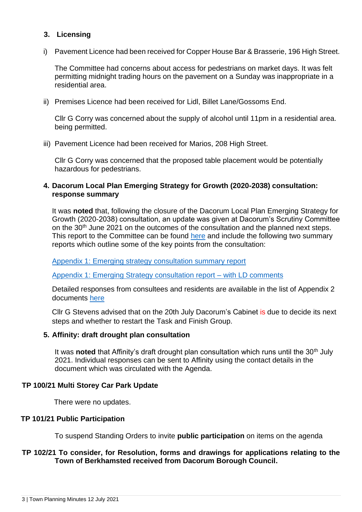## **3. Licensing**

i) Pavement Licence had been received for Copper House Bar & Brasserie, 196 High Street.

The Committee had concerns about access for pedestrians on market days. It was felt permitting midnight trading hours on the pavement on a Sunday was inappropriate in a residential area.

ii) Premises Licence had been received for Lidl, Billet Lane/Gossoms End.

Cllr G Corry was concerned about the supply of alcohol until 11pm in a residential area. being permitted.

iii) Pavement Licence had been received for Marios, 208 High Street.

Cllr G Corry was concerned that the proposed table placement would be potentially hazardous for pedestrians.

### **4. Dacorum Local Plan Emerging Strategy for Growth (2020-2038) consultation: response summary**

It was **noted** that, following the closure of the Dacorum Local Plan Emerging Strategy for Growth (2020-2038) consultation, an update was given at Dacorum's Scrutiny Committee on the 30<sup>th</sup> June 2021 on the outcomes of the consultation and the planned next steps. This report to the Committee can be found [here](https://democracy.dacorum.gov.uk/ieListDocuments.aspx?CId=177&MId=2965) and include the following two summary reports which outline some of the key points from the consultation:

[Appendix 1: Emerging strategy consultation summary report](https://democracy.dacorum.gov.uk/documents/s29558/Appendix%201%20-%20Emerging%20Strategy%20Consultation%20Summary%20Report.pdf)

[Appendix 1: Emerging Strategy consultation report –](https://democracy.dacorum.gov.uk/documents/s29775/Appendix%201%20-%20Emerging%20Strategy%20Consultation%20Summary%20Report%20-%20with%20LD%20comments.pdf) with LD comments

Detailed responses from consultees and residents are available in the list of Appendix 2 documents [here](https://www.dacorum.gov.uk/home/planning-development/planning-strategic-planning/new-single-local-planhttps:/www.dacorum.gov.uk/home/planning-development/planning-strategic-planning/new-single-local-plan)

Cllr G Stevens advised that on the 20th July Dacorum's Cabinet is due to decide its next steps and whether to restart the Task and Finish Group.

#### **5. Affinity: draft drought plan consultation**

It was **noted** that Affinity's draft drought plan consultation which runs until the 30<sup>th</sup> July 2021. Individual responses can be sent to Affinity using the contact details in the document which was circulated with the Agenda.

#### **TP 100/21 Multi Storey Car Park Update**

There were no updates.

#### **TP 101/21 Public Participation**

To suspend Standing Orders to invite **public participation** on items on the agenda

## **TP 102/21 To consider, for Resolution, forms and drawings for applications relating to the Town of Berkhamsted received from Dacorum Borough Council.**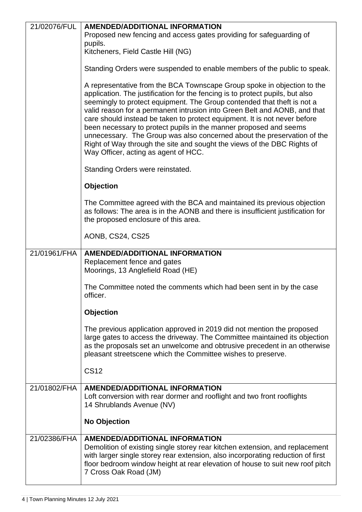| 21/02076/FUL | <b>AMENDED/ADDITIONAL INFORMATION</b>                                                                                                                                                                                                                                                                                                                                                                                                                                                                                                                                                                                                                            |
|--------------|------------------------------------------------------------------------------------------------------------------------------------------------------------------------------------------------------------------------------------------------------------------------------------------------------------------------------------------------------------------------------------------------------------------------------------------------------------------------------------------------------------------------------------------------------------------------------------------------------------------------------------------------------------------|
|              | Proposed new fencing and access gates providing for safeguarding of                                                                                                                                                                                                                                                                                                                                                                                                                                                                                                                                                                                              |
|              | pupils.<br>Kitcheners, Field Castle Hill (NG)                                                                                                                                                                                                                                                                                                                                                                                                                                                                                                                                                                                                                    |
|              |                                                                                                                                                                                                                                                                                                                                                                                                                                                                                                                                                                                                                                                                  |
|              | Standing Orders were suspended to enable members of the public to speak.                                                                                                                                                                                                                                                                                                                                                                                                                                                                                                                                                                                         |
|              | A representative from the BCA Townscape Group spoke in objection to the<br>application. The justification for the fencing is to protect pupils, but also<br>seemingly to protect equipment. The Group contended that theft is not a<br>valid reason for a permanent intrusion into Green Belt and AONB, and that<br>care should instead be taken to protect equipment. It is not never before<br>been necessary to protect pupils in the manner proposed and seems<br>unnecessary. The Group was also concerned about the preservation of the<br>Right of Way through the site and sought the views of the DBC Rights of<br>Way Officer, acting as agent of HCC. |
|              | Standing Orders were reinstated.                                                                                                                                                                                                                                                                                                                                                                                                                                                                                                                                                                                                                                 |
|              | <b>Objection</b>                                                                                                                                                                                                                                                                                                                                                                                                                                                                                                                                                                                                                                                 |
|              | The Committee agreed with the BCA and maintained its previous objection<br>as follows: The area is in the AONB and there is insufficient justification for<br>the proposed enclosure of this area.                                                                                                                                                                                                                                                                                                                                                                                                                                                               |
|              | AONB, CS24, CS25                                                                                                                                                                                                                                                                                                                                                                                                                                                                                                                                                                                                                                                 |
| 21/01961/FHA | <b>AMENDED/ADDITIONAL INFORMATION</b><br>Replacement fence and gates<br>Moorings, 13 Anglefield Road (HE)                                                                                                                                                                                                                                                                                                                                                                                                                                                                                                                                                        |
|              | The Committee noted the comments which had been sent in by the case<br>officer.                                                                                                                                                                                                                                                                                                                                                                                                                                                                                                                                                                                  |
|              | <b>Objection</b>                                                                                                                                                                                                                                                                                                                                                                                                                                                                                                                                                                                                                                                 |
|              | The previous application approved in 2019 did not mention the proposed<br>large gates to access the driveway. The Committee maintained its objection<br>as the proposals set an unwelcome and obtrusive precedent in an otherwise<br>pleasant streetscene which the Committee wishes to preserve.                                                                                                                                                                                                                                                                                                                                                                |
|              | <b>CS12</b>                                                                                                                                                                                                                                                                                                                                                                                                                                                                                                                                                                                                                                                      |
| 21/01802/FHA | <b>AMENDED/ADDITIONAL INFORMATION</b><br>Loft conversion with rear dormer and rooflight and two front rooflights<br>14 Shrublands Avenue (NV)                                                                                                                                                                                                                                                                                                                                                                                                                                                                                                                    |
|              | <b>No Objection</b>                                                                                                                                                                                                                                                                                                                                                                                                                                                                                                                                                                                                                                              |
| 21/02386/FHA | <b>AMENDED/ADDITIONAL INFORMATION</b><br>Demolition of existing single storey rear kitchen extension, and replacement<br>with larger single storey rear extension, also incorporating reduction of first<br>floor bedroom window height at rear elevation of house to suit new roof pitch<br>7 Cross Oak Road (JM)                                                                                                                                                                                                                                                                                                                                               |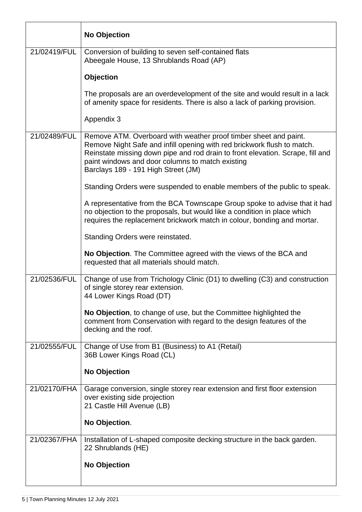|              | <b>No Objection</b>                                                                                                                                                                                                                                                                                                      |
|--------------|--------------------------------------------------------------------------------------------------------------------------------------------------------------------------------------------------------------------------------------------------------------------------------------------------------------------------|
| 21/02419/FUL | Conversion of building to seven self-contained flats<br>Abeegale House, 13 Shrublands Road (AP)                                                                                                                                                                                                                          |
|              | <b>Objection</b>                                                                                                                                                                                                                                                                                                         |
|              | The proposals are an overdevelopment of the site and would result in a lack<br>of amenity space for residents. There is also a lack of parking provision.                                                                                                                                                                |
|              | Appendix 3                                                                                                                                                                                                                                                                                                               |
| 21/02489/FUL | Remove ATM. Overboard with weather proof timber sheet and paint.<br>Remove Night Safe and infill opening with red brickwork flush to match.<br>Reinstate missing down pipe and rod drain to front elevation. Scrape, fill and<br>paint windows and door columns to match existing<br>Barclays 189 - 191 High Street (JM) |
|              | Standing Orders were suspended to enable members of the public to speak.                                                                                                                                                                                                                                                 |
|              | A representative from the BCA Townscape Group spoke to advise that it had<br>no objection to the proposals, but would like a condition in place which<br>requires the replacement brickwork match in colour, bonding and mortar.                                                                                         |
|              | Standing Orders were reinstated.                                                                                                                                                                                                                                                                                         |
|              | No Objection. The Committee agreed with the views of the BCA and<br>requested that all materials should match.                                                                                                                                                                                                           |
| 21/02536/FUL | Change of use from Trichology Clinic (D1) to dwelling (C3) and construction<br>of single storey rear extension.<br>44 Lower Kings Road (DT)                                                                                                                                                                              |
|              | No Objection, to change of use, but the Committee highlighted the<br>comment from Conservation with regard to the design features of the<br>decking and the roof.                                                                                                                                                        |
| 21/02555/FUL | Change of Use from B1 (Business) to A1 (Retail)<br>36B Lower Kings Road (CL)                                                                                                                                                                                                                                             |
|              | <b>No Objection</b>                                                                                                                                                                                                                                                                                                      |
| 21/02170/FHA | Garage conversion, single storey rear extension and first floor extension<br>over existing side projection<br>21 Castle Hill Avenue (LB)                                                                                                                                                                                 |
|              | No Objection.                                                                                                                                                                                                                                                                                                            |
| 21/02367/FHA | Installation of L-shaped composite decking structure in the back garden.<br>22 Shrublands (HE)                                                                                                                                                                                                                           |
|              | <b>No Objection</b>                                                                                                                                                                                                                                                                                                      |
|              |                                                                                                                                                                                                                                                                                                                          |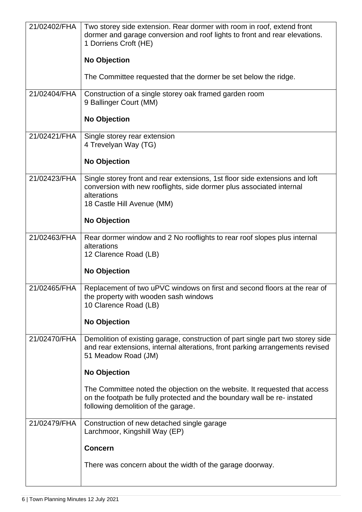| 21/02402/FHA | Two storey side extension. Rear dormer with room in roof, extend front<br>dormer and garage conversion and roof lights to front and rear elevations.<br>1 Dorriens Croft (HE)<br><b>No Objection</b><br>The Committee requested that the dormer be set below the ridge.                                                                                                                                         |
|--------------|-----------------------------------------------------------------------------------------------------------------------------------------------------------------------------------------------------------------------------------------------------------------------------------------------------------------------------------------------------------------------------------------------------------------|
| 21/02404/FHA | Construction of a single storey oak framed garden room<br>9 Ballinger Court (MM)<br><b>No Objection</b>                                                                                                                                                                                                                                                                                                         |
| 21/02421/FHA | Single storey rear extension<br>4 Trevelyan Way (TG)<br><b>No Objection</b>                                                                                                                                                                                                                                                                                                                                     |
| 21/02423/FHA | Single storey front and rear extensions, 1st floor side extensions and loft<br>conversion with new rooflights, side dormer plus associated internal<br>alterations<br>18 Castle Hill Avenue (MM)<br><b>No Objection</b>                                                                                                                                                                                         |
| 21/02463/FHA | Rear dormer window and 2 No rooflights to rear roof slopes plus internal<br>alterations<br>12 Clarence Road (LB)<br>No Objection                                                                                                                                                                                                                                                                                |
| 21/02465/FHA | Replacement of two uPVC windows on first and second floors at the rear of<br>the property with wooden sash windows<br>10 Clarence Road (LB)<br><b>No Objection</b>                                                                                                                                                                                                                                              |
| 21/02470/FHA | Demolition of existing garage, construction of part single part two storey side<br>and rear extensions, internal alterations, front parking arrangements revised<br>51 Meadow Road (JM)<br><b>No Objection</b><br>The Committee noted the objection on the website. It requested that access<br>on the footpath be fully protected and the boundary wall be re- instated<br>following demolition of the garage. |
| 21/02479/FHA | Construction of new detached single garage<br>Larchmoor, Kingshill Way (EP)<br><b>Concern</b><br>There was concern about the width of the garage doorway.                                                                                                                                                                                                                                                       |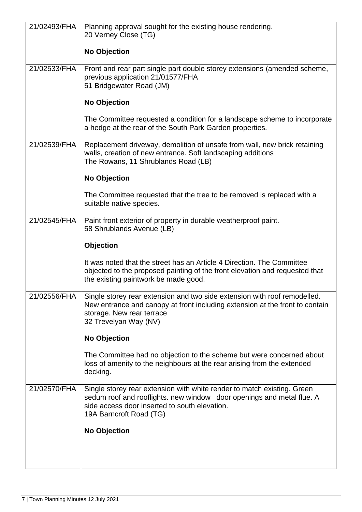| 21/02493/FHA | Planning approval sought for the existing house rendering.<br>20 Verney Close (TG)                                                                                                                                           |
|--------------|------------------------------------------------------------------------------------------------------------------------------------------------------------------------------------------------------------------------------|
|              |                                                                                                                                                                                                                              |
|              | <b>No Objection</b>                                                                                                                                                                                                          |
| 21/02533/FHA | Front and rear part single part double storey extensions (amended scheme,<br>previous application 21/01577/FHA<br>51 Bridgewater Road (JM)                                                                                   |
|              | <b>No Objection</b>                                                                                                                                                                                                          |
|              | The Committee requested a condition for a landscape scheme to incorporate<br>a hedge at the rear of the South Park Garden properties.                                                                                        |
| 21/02539/FHA | Replacement driveway, demolition of unsafe from wall, new brick retaining<br>walls, creation of new entrance. Soft landscaping additions<br>The Rowans, 11 Shrublands Road (LB)                                              |
|              | <b>No Objection</b>                                                                                                                                                                                                          |
|              | The Committee requested that the tree to be removed is replaced with a<br>suitable native species.                                                                                                                           |
| 21/02545/FHA | Paint front exterior of property in durable weatherproof paint.<br>58 Shrublands Avenue (LB)                                                                                                                                 |
|              | <b>Objection</b>                                                                                                                                                                                                             |
|              | It was noted that the street has an Article 4 Direction. The Committee<br>objected to the proposed painting of the front elevation and requested that<br>the existing paintwork be made good.                                |
| 21/02556/FHA | Single storey rear extension and two side extension with roof remodelled.<br>New entrance and canopy at front including extension at the front to contain<br>storage. New rear terrace<br>32 Trevelyan Way (NV)              |
|              | <b>No Objection</b>                                                                                                                                                                                                          |
|              | The Committee had no objection to the scheme but were concerned about<br>loss of amenity to the neighbours at the rear arising from the extended<br>decking.                                                                 |
| 21/02570/FHA | Single storey rear extension with white render to match existing. Green<br>sedum roof and rooflights. new window door openings and metal flue. A<br>side access door inserted to south elevation.<br>19A Barncroft Road (TG) |
|              | <b>No Objection</b>                                                                                                                                                                                                          |
|              |                                                                                                                                                                                                                              |
|              |                                                                                                                                                                                                                              |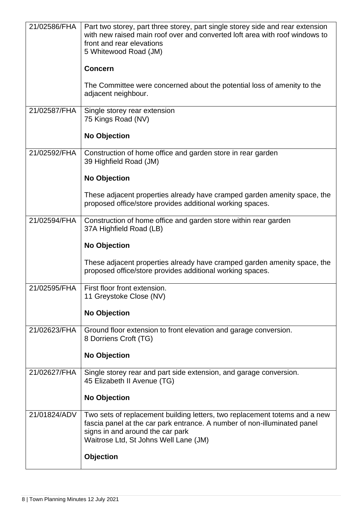| 21/02586/FHA | Part two storey, part three storey, part single storey side and rear extension<br>with new raised main roof over and converted loft area with roof windows to<br>front and rear elevations<br>5 Whitewood Road (JM)                 |
|--------------|-------------------------------------------------------------------------------------------------------------------------------------------------------------------------------------------------------------------------------------|
|              | <b>Concern</b>                                                                                                                                                                                                                      |
|              | The Committee were concerned about the potential loss of amenity to the<br>adjacent neighbour.                                                                                                                                      |
| 21/02587/FHA | Single storey rear extension<br>75 Kings Road (NV)                                                                                                                                                                                  |
|              | <b>No Objection</b>                                                                                                                                                                                                                 |
| 21/02592/FHA | Construction of home office and garden store in rear garden<br>39 Highfield Road (JM)                                                                                                                                               |
|              | <b>No Objection</b>                                                                                                                                                                                                                 |
|              | These adjacent properties already have cramped garden amenity space, the<br>proposed office/store provides additional working spaces.                                                                                               |
| 21/02594/FHA | Construction of home office and garden store within rear garden<br>37A Highfield Road (LB)                                                                                                                                          |
|              | <b>No Objection</b>                                                                                                                                                                                                                 |
|              | These adjacent properties already have cramped garden amenity space, the<br>proposed office/store provides additional working spaces.                                                                                               |
| 21/02595/FHA | First floor front extension.<br>11 Greystoke Close (NV)                                                                                                                                                                             |
|              | No Objection                                                                                                                                                                                                                        |
| 21/02623/FHA | Ground floor extension to front elevation and garage conversion.<br>8 Dorriens Croft (TG)                                                                                                                                           |
|              | <b>No Objection</b>                                                                                                                                                                                                                 |
| 21/02627/FHA | Single storey rear and part side extension, and garage conversion.<br>45 Elizabeth II Avenue (TG)                                                                                                                                   |
|              | <b>No Objection</b>                                                                                                                                                                                                                 |
| 21/01824/ADV | Two sets of replacement building letters, two replacement totems and a new<br>fascia panel at the car park entrance. A number of non-illuminated panel<br>signs in and around the car park<br>Waitrose Ltd, St Johns Well Lane (JM) |
|              | <b>Objection</b>                                                                                                                                                                                                                    |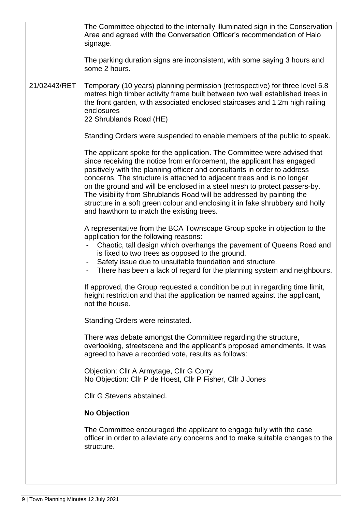|              | The Committee objected to the internally illuminated sign in the Conservation<br>Area and agreed with the Conversation Officer's recommendation of Halo<br>signage.                                                                                                                                                                                                                                                                                                                                                                                                                                                                                                                                                                                                                                                                                                                                                                                               |
|--------------|-------------------------------------------------------------------------------------------------------------------------------------------------------------------------------------------------------------------------------------------------------------------------------------------------------------------------------------------------------------------------------------------------------------------------------------------------------------------------------------------------------------------------------------------------------------------------------------------------------------------------------------------------------------------------------------------------------------------------------------------------------------------------------------------------------------------------------------------------------------------------------------------------------------------------------------------------------------------|
|              | The parking duration signs are inconsistent, with some saying 3 hours and<br>some 2 hours.                                                                                                                                                                                                                                                                                                                                                                                                                                                                                                                                                                                                                                                                                                                                                                                                                                                                        |
| 21/02443/RET | Temporary (10 years) planning permission (retrospective) for three level 5.8<br>metres high timber activity frame built between two well established trees in<br>the front garden, with associated enclosed staircases and 1.2m high railing<br>enclosures<br>22 Shrublands Road (HE)<br>Standing Orders were suspended to enable members of the public to speak.<br>The applicant spoke for the application. The Committee were advised that<br>since receiving the notice from enforcement, the applicant has engaged<br>positively with the planning officer and consultants in order to address<br>concerns. The structure is attached to adjacent trees and is no longer<br>on the ground and will be enclosed in a steel mesh to protect passers-by.<br>The visibility from Shrublands Road will be addressed by painting the<br>structure in a soft green colour and enclosing it in fake shrubbery and holly<br>and hawthorn to match the existing trees. |
|              | A representative from the BCA Townscape Group spoke in objection to the<br>application for the following reasons:<br>Chaotic, tall design which overhangs the pavement of Queens Road and<br>is fixed to two trees as opposed to the ground.<br>Safety issue due to unsuitable foundation and structure.<br>There has been a lack of regard for the planning system and neighbours.                                                                                                                                                                                                                                                                                                                                                                                                                                                                                                                                                                               |
|              | If approved, the Group requested a condition be put in regarding time limit,<br>height restriction and that the application be named against the applicant,<br>not the house.                                                                                                                                                                                                                                                                                                                                                                                                                                                                                                                                                                                                                                                                                                                                                                                     |
|              | Standing Orders were reinstated.                                                                                                                                                                                                                                                                                                                                                                                                                                                                                                                                                                                                                                                                                                                                                                                                                                                                                                                                  |
|              | There was debate amongst the Committee regarding the structure,<br>overlooking, streetscene and the applicant's proposed amendments. It was<br>agreed to have a recorded vote, results as follows:                                                                                                                                                                                                                                                                                                                                                                                                                                                                                                                                                                                                                                                                                                                                                                |
|              | Objection: Cllr A Armytage, Cllr G Corry<br>No Objection: Cllr P de Hoest, Cllr P Fisher, Cllr J Jones                                                                                                                                                                                                                                                                                                                                                                                                                                                                                                                                                                                                                                                                                                                                                                                                                                                            |
|              | Cllr G Stevens abstained.                                                                                                                                                                                                                                                                                                                                                                                                                                                                                                                                                                                                                                                                                                                                                                                                                                                                                                                                         |
|              | <b>No Objection</b>                                                                                                                                                                                                                                                                                                                                                                                                                                                                                                                                                                                                                                                                                                                                                                                                                                                                                                                                               |
|              | The Committee encouraged the applicant to engage fully with the case<br>officer in order to alleviate any concerns and to make suitable changes to the<br>structure.                                                                                                                                                                                                                                                                                                                                                                                                                                                                                                                                                                                                                                                                                                                                                                                              |
|              |                                                                                                                                                                                                                                                                                                                                                                                                                                                                                                                                                                                                                                                                                                                                                                                                                                                                                                                                                                   |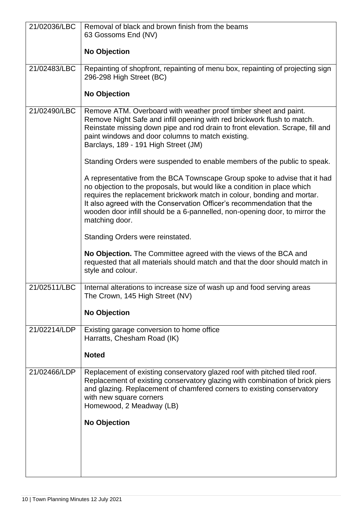| 21/02036/LBC | Removal of black and brown finish from the beams                               |
|--------------|--------------------------------------------------------------------------------|
|              | 63 Gossoms End (NV)                                                            |
|              |                                                                                |
|              | <b>No Objection</b>                                                            |
|              |                                                                                |
| 21/02483/LBC | Repainting of shopfront, repainting of menu box, repainting of projecting sign |
|              | 296-298 High Street (BC)                                                       |
|              |                                                                                |
|              | <b>No Objection</b>                                                            |
|              |                                                                                |
| 21/02490/LBC | Remove ATM. Overboard with weather proof timber sheet and paint.               |
|              | Remove Night Safe and infill opening with red brickwork flush to match.        |
|              | Reinstate missing down pipe and rod drain to front elevation. Scrape, fill and |
|              | paint windows and door columns to match existing.                              |
|              | Barclays, 189 - 191 High Street (JM)                                           |
|              | Standing Orders were suspended to enable members of the public to speak.       |
|              |                                                                                |
|              | A representative from the BCA Townscape Group spoke to advise that it had      |
|              | no objection to the proposals, but would like a condition in place which       |
|              | requires the replacement brickwork match in colour, bonding and mortar.        |
|              | It also agreed with the Conservation Officer's recommendation that the         |
|              | wooden door infill should be a 6-pannelled, non-opening door, to mirror the    |
|              | matching door.                                                                 |
|              |                                                                                |
|              | Standing Orders were reinstated.                                               |
|              | No Objection. The Committee agreed with the views of the BCA and               |
|              | requested that all materials should match and that the door should match in    |
|              | style and colour.                                                              |
|              |                                                                                |
| 21/02511/LBC | Internal alterations to increase size of wash up and food serving areas        |
|              | The Crown, 145 High Street (NV)                                                |
|              | <b>No Objection</b>                                                            |
|              |                                                                                |
| 21/02214/LDP | Existing garage conversion to home office                                      |
|              | Harratts, Chesham Road (IK)                                                    |
|              |                                                                                |
|              | <b>Noted</b>                                                                   |
| 21/02466/LDP | Replacement of existing conservatory glazed roof with pitched tiled roof.      |
|              | Replacement of existing conservatory glazing with combination of brick piers   |
|              | and glazing. Replacement of chamfered corners to existing conservatory         |
|              | with new square corners                                                        |
|              | Homewood, 2 Meadway (LB)                                                       |
|              |                                                                                |
|              | <b>No Objection</b>                                                            |
|              |                                                                                |
|              |                                                                                |
|              |                                                                                |
|              |                                                                                |
|              |                                                                                |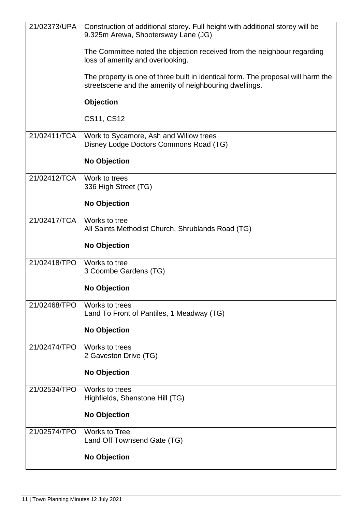| 21/02373/UPA | Construction of additional storey. Full height with additional storey will be<br>9.325m Arewa, Shootersway Lane (JG)                       |
|--------------|--------------------------------------------------------------------------------------------------------------------------------------------|
|              | The Committee noted the objection received from the neighbour regarding<br>loss of amenity and overlooking.                                |
|              | The property is one of three built in identical form. The proposal will harm the<br>streetscene and the amenity of neighbouring dwellings. |
|              | <b>Objection</b>                                                                                                                           |
|              | CS11, CS12                                                                                                                                 |
| 21/02411/TCA | Work to Sycamore, Ash and Willow trees<br>Disney Lodge Doctors Commons Road (TG)                                                           |
|              | <b>No Objection</b>                                                                                                                        |
| 21/02412/TCA | Work to trees<br>336 High Street (TG)                                                                                                      |
|              | <b>No Objection</b>                                                                                                                        |
| 21/02417/TCA | Works to tree<br>All Saints Methodist Church, Shrublands Road (TG)                                                                         |
|              | <b>No Objection</b>                                                                                                                        |
| 21/02418/TPO | Works to tree<br>3 Coombe Gardens (TG)                                                                                                     |
|              | <b>No Objection</b>                                                                                                                        |
| 21/02468/TPO | Works to trees<br>Land To Front of Pantiles, 1 Meadway (TG)                                                                                |
|              | <b>No Objection</b>                                                                                                                        |
| 21/02474/TPO | Works to trees<br>2 Gaveston Drive (TG)                                                                                                    |
|              | <b>No Objection</b>                                                                                                                        |
| 21/02534/TPO | Works to trees<br>Highfields, Shenstone Hill (TG)                                                                                          |
|              | <b>No Objection</b>                                                                                                                        |
| 21/02574/TPO | <b>Works to Tree</b><br>Land Off Townsend Gate (TG)                                                                                        |
|              | <b>No Objection</b>                                                                                                                        |
|              |                                                                                                                                            |